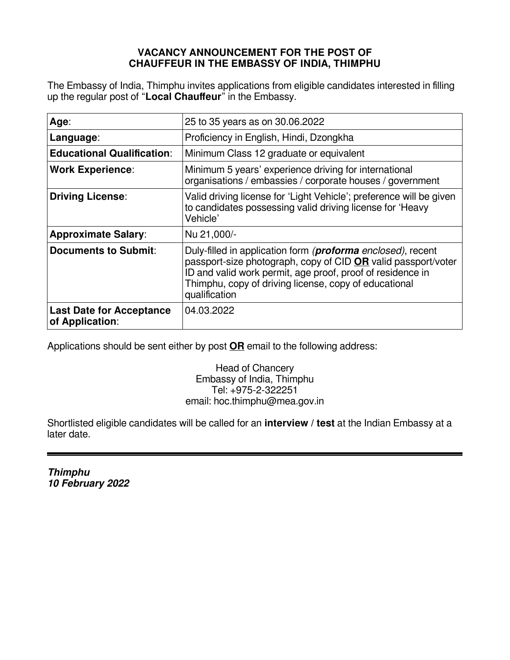## **VACANCY ANNOUNCEMENT FOR THE POST OF CHAUFFEUR IN THE EMBASSY OF INDIA, THIMPHU**

The Embassy of India, Thimphu invites applications from eligible candidates interested in filling up the regular post of "**Local Chauffeur**" in the Embassy.

| Age:                                               | 25 to 35 years as on 30.06.2022                                                                                                                                                                                                                                              |  |  |
|----------------------------------------------------|------------------------------------------------------------------------------------------------------------------------------------------------------------------------------------------------------------------------------------------------------------------------------|--|--|
| Language:                                          | Proficiency in English, Hindi, Dzongkha                                                                                                                                                                                                                                      |  |  |
| <b>Educational Qualification:</b>                  | Minimum Class 12 graduate or equivalent                                                                                                                                                                                                                                      |  |  |
| <b>Work Experience:</b>                            | Minimum 5 years' experience driving for international<br>organisations / embassies / corporate houses / government                                                                                                                                                           |  |  |
| <b>Driving License:</b>                            | Valid driving license for 'Light Vehicle'; preference will be given<br>to candidates possessing valid driving license for 'Heavy<br>Vehicle'                                                                                                                                 |  |  |
| <b>Approximate Salary:</b>                         | Nu 21,000/-                                                                                                                                                                                                                                                                  |  |  |
| <b>Documents to Submit:</b>                        | Duly-filled in application form ( <b>proforma</b> enclosed), recent<br>passport-size photograph, copy of CID OR valid passport/voter<br>ID and valid work permit, age proof, proof of residence in<br>Thimphu, copy of driving license, copy of educational<br>qualification |  |  |
| <b>Last Date for Acceptance</b><br>of Application: | 04.03.2022                                                                                                                                                                                                                                                                   |  |  |

Applications should be sent either by post **OR** email to the following address:

Head of Chancery Embassy of India, Thimphu Tel: +975-2-322251 email: hoc.thimphu@mea.gov.in

Shortlisted eligible candidates will be called for an **interview / test** at the Indian Embassy at a later date.

**Thimphu 10 February 2022**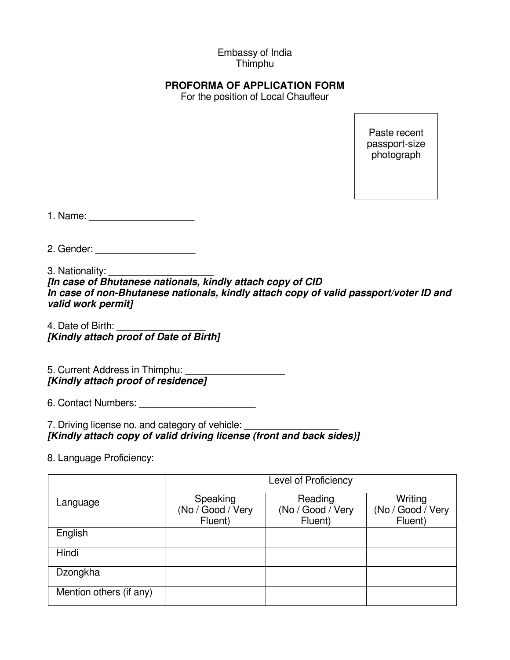## Embassy of India Thimphu

## **PROFORMA OF APPLICATION FORM**

For the position of Local Chauffeur

Paste recent passport-size photograph

1. Name:

2. Gender: \_\_\_\_\_\_\_\_\_\_\_\_\_\_\_\_\_\_

3. Nationality:

**[In case of Bhutanese nationals, kindly attach copy of CID In case of non-Bhutanese nationals, kindly attach copy of valid passport/voter ID and valid work permit]**

4. Date of Birth: **[Kindly attach proof of Date of Birth]**

5. Current Address in Thimphu: **[Kindly attach proof of residence]**

6. Contact Numbers: **Example 19** 

7. Driving license no. and category of vehicle: **[Kindly attach copy of valid driving license (front and back sides)]**

8. Language Proficiency:

|                         | Level of Proficiency                     |                                         |                                         |  |
|-------------------------|------------------------------------------|-----------------------------------------|-----------------------------------------|--|
| Language                | Speaking<br>(No / Good / Very<br>Fluent) | Reading<br>(No / Good / Very<br>Fluent) | Writing<br>(No / Good / Very<br>Fluent) |  |
| English                 |                                          |                                         |                                         |  |
| Hindi                   |                                          |                                         |                                         |  |
| Dzongkha                |                                          |                                         |                                         |  |
| Mention others (if any) |                                          |                                         |                                         |  |